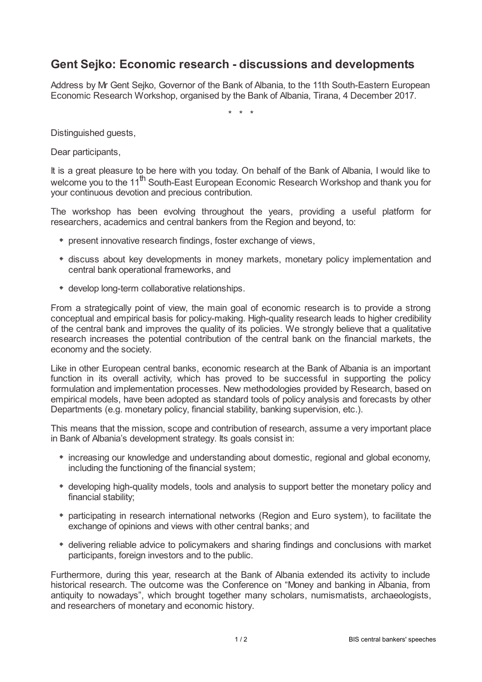## **Gent Sejko: Economic research - discussions and developments**

Address by Mr Gent Sejko, Governor of the Bank of Albania, to the 11th South-Eastern European Economic Research Workshop, organised by the Bank of Albania, Tirana, 4 December 2017.

\* \* \*

Distinguished guests,

Dear participants,

It is a great pleasure to be here with you today. On behalf of the Bank of Albania, I would like to welcome you to the 11<sup>th</sup> South-East European Economic Research Workshop and thank you for your continuous devotion and precious contribution.

The workshop has been evolving throughout the years, providing a useful platform for researchers, academics and central bankers from the Region and beyond, to:

- present innovative research findings, foster exchange of views,
- discuss about key developments in money markets, monetary policy implementation and central bank operational frameworks, and
- develop long-term collaborative relationships.

From a strategically point of view, the main goal of economic research is to provide a strong conceptual and empirical basis for policy-making. High-quality research leads to higher credibility of the central bank and improves the quality of its policies. We strongly believe that a qualitative research increases the potential contribution of the central bank on the financial markets, the economy and the society.

Like in other European central banks, economic research at the Bank of Albania is an important function in its overall activity, which has proved to be successful in supporting the policy formulation and implementation processes. New methodologies provided by Research, based on empirical models, have been adopted as standard tools of policy analysis and forecasts by other Departments (e.g. monetary policy, financial stability, banking supervision, etc.).

This means that the mission, scope and contribution of research, assume a very important place in Bank of Albania's development strategy. Its goals consist in:

- $*$  increasing our knowledge and understanding about domestic, regional and global economy, including the functioning of the financial system;
- developing high-quality models, tools and analysis to support better the monetary policy and financial stability;
- participating in research international networks (Region and Euro system), to facilitate the exchange of opinions and views with other central banks; and
- delivering reliable advice to policymakers and sharing findings and conclusions with market participants, foreign investors and to the public.

Furthermore, during this year, research at the Bank of Albania extended its activity to include historical research. The outcome was the Conference on "Money and banking in Albania, from antiquity to nowadays", which brought together many scholars, numismatists, archaeologists, and researchers of monetary and economic history.